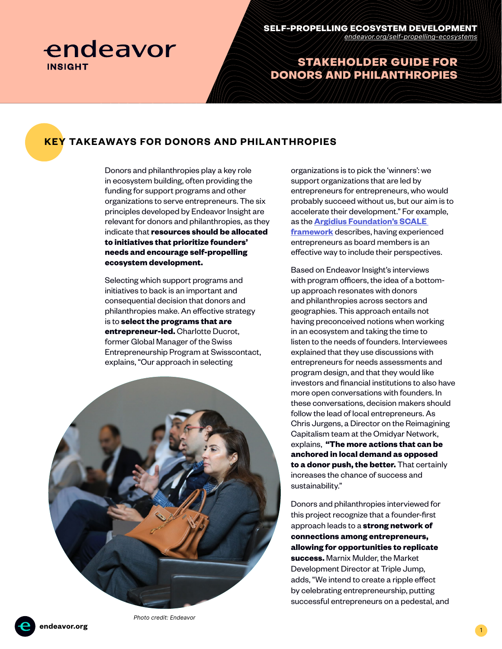

# STAKEHOLDER GUIDE FOR DONORS AND PHILANTHROPIES

# **KEY TAKEAWAYS FOR DONORS AND PHILANTHROPIES**

Donors and philanthropies play a key role in ecosystem building, often providing the funding for support programs and other organizations to serve entrepreneurs. The six principles developed by Endeavor Insight are relevant for donors and philanthropies, as they indicate that **resources should be allocated to initiatives that prioritize founders' needs and encourage self-propelling ecosystem development.**

Selecting which support programs and initiatives to back is an important and consequential decision that donors and philanthropies make. An effective strategy is to **select the programs that are entrepreneur-led.** Charlotte Ducrot, former Global Manager of the Swiss Entrepreneurship Program at Swisscontact, explains, "Our approach in selecting



organizations is to pick the 'winners': we support organizations that are led by entrepreneurs for entrepreneurs, who would probably succeed without us, but our aim is to accelerate their development." For example, as the **[Argidius Foundation's SCALE](https://api.cofraholding.com/media/2612/report-fulfilling-the-potential-of-bds.pdf)  [framework](https://api.cofraholding.com/media/2612/report-fulfilling-the-potential-of-bds.pdf)** describes, having experienced entrepreneurs as board members is an effective way to include their perspectives.

Based on Endeavor Insight's interviews with program officers, the idea of a bottomup approach resonates with donors and philanthropies across sectors and geographies. This approach entails not having preconceived notions when working in an ecosystem and taking the time to listen to the needs of founders. Interviewees explained that they use discussions with entrepreneurs for needs assessments and program design, and that they would like investors and financial institutions to also have more open conversations with founders. In these conversations, decision makers should follow the lead of local entrepreneurs. As Chris Jurgens, a Director on the Reimagining Capitalism team at the Omidyar Network, explains, **"The more actions that can be anchored in local demand as opposed to a donor push, the better.** That certainly increases the chance of success and sustainability."

Donors and philanthropies interviewed for this project recognize that a founder-first approach leads to a **strong network of connections among entrepreneurs, allowing for opportunities to replicate success.** Marnix Mulder, the Market Development Director at Triple Jump, adds, "We intend to create a ripple effect by celebrating entrepreneurship, putting successful entrepreneurs on a pedestal, and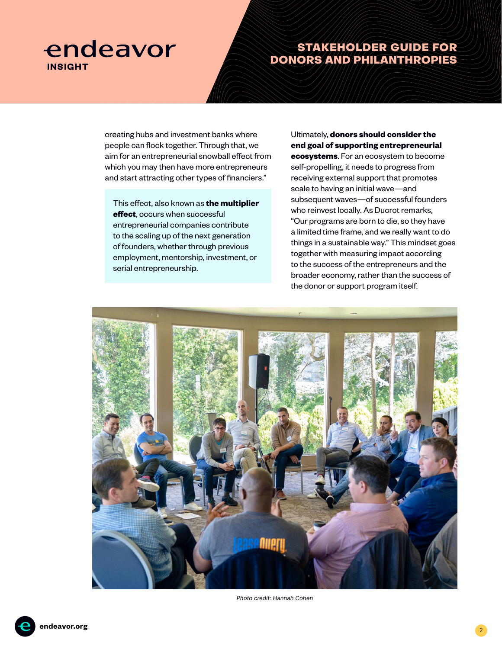# endeavor **INSIGHT**

# STAKEHOLDER GUIDE FOR DONORS AND PHILANTHROPIES

creating hubs and investment banks where people can flock together. Through that, we aim for an entrepreneurial snowball effect from which you may then have more entrepreneurs and start attracting other types of financiers."

This effect, also known as **the multiplier effect**, occurs when successful entrepreneurial companies contribute to the scaling up of the next generation of founders, whether through previous employment, mentorship, investment, or serial entrepreneurship.

Ultimately, **donors should consider the end goal of supporting entrepreneurial ecosystems**. For an ecosystem to become self-propelling, it needs to progress from receiving external support that promotes scale to having an initial wave—and subsequent waves—of successful founders who reinvest locally. As Ducrot remarks, "Our programs are born to die, so they have a limited time frame, and we really want to do things in a sustainable way." This mindset goes together with measuring impact according to the success of the entrepreneurs and the broader economy, rather than the success of the donor or support program itself.



Photo credit: Hannah Cohen

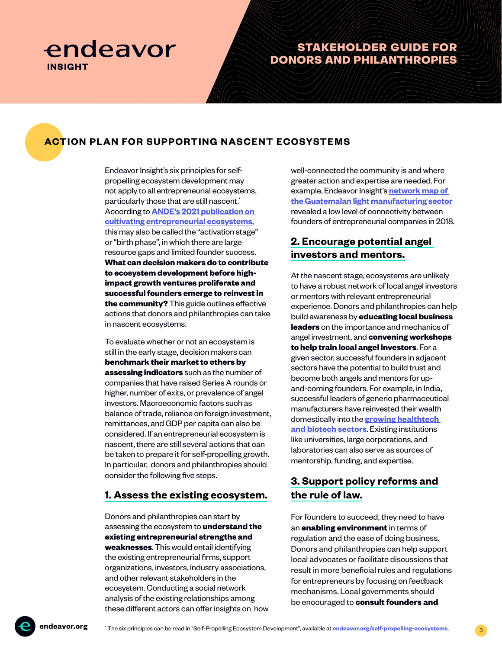

### STAKEHOLDER GUIDE FOR DONORS AND PHILANTHROPIES

## **ACTION PLAN FOR SUPPORTING NASCENT ECOSYSTEMS**

Endeavor Insight's six principles for selfpropelling ecosystem development may not apply to all entrepreneurial ecosystems, particularly those that are still nascent.<sup>\*</sup> According to **[ANDE's 2021 publication on](https://www.andeglobal.org/?action=tracking&file=2021/11/What-We-Know-About_Cultivating-Entrepreneurial-Ecosystems_EN.pdf)  [cultivating entrepreneurial ecosystems](https://www.andeglobal.org/?action=tracking&file=2021/11/What-We-Know-About_Cultivating-Entrepreneurial-Ecosystems_EN.pdf)**, this may also be called the "activation stage" or "birth phase", in which there are large resource gaps and limited founder success. **What can decision makers do to contribute to ecosystem development before highimpact growth ventures proliferate and successful founders emerge to reinvest in the community?** This guide outlines effective actions that donors and philanthropies can take in nascent ecosystems.

To evaluate whether or not an ecosystem is still in the early stage, decision makers can **benchmark their market to others by assessing indicators** such as the number of companies that have raised Series A rounds or higher, number of exits, or prevalence of angel investors. Macroeconomic factors such as balance of trade, reliance on foreign investment, remittances, and GDP per capita can also be considered. If an entrepreneurial ecosystem is nascent, there are still several actions that can be taken to prepare it for self-propelling growth. In particular, donors and philanthropies should consider the following five steps.

#### **1. Assess the existing ecosystem.**

Donors and philanthropies can start by assessing the ecosystem to **understand the existing entrepreneurial strengths and weaknesses**. This would entail identifying the existing entrepreneurial firms, support organizations, investors, industry associations, and other relevant stakeholders in the ecosystem. Conducting a social network analysis of the existing relationships among these different actors can offer insights on how well-connected the community is and where greater action and expertise are needed. For example, Endeavor Insight's **[network map of](https://www.argidius.com/en/learning/learning-placeholder-i5450-how-to-support-entrepreneurs-to-grow-their-light-manufacturing-businesses-in-guatemala-endeavor-insight-s-recommendations/)  [the Guatemalan light manufacturing sector](https://www.argidius.com/en/learning/learning-placeholder-i5450-how-to-support-entrepreneurs-to-grow-their-light-manufacturing-businesses-in-guatemala-endeavor-insight-s-recommendations/)** revealed a low level of connectivity between founders of entrepreneurial companies in 2018.

### **2. Encourage potential angel investors and mentors.**

At the nascent stage, ecosystems are unlikely to have a robust network of local angel investors or mentors with relevant entrepreneurial experience. Donors and philanthropies can help build awareness by **educating local business leaders** on the importance and mechanics of angel investment, and **convening workshops to help train local angel investors**. For a given sector, successful founders in adjacent sectors have the potential to build trust and become both angels and mentors for upand-coming founders. For example, in India, successful leaders of generic pharmaceutical manufacturers have reinvested their wealth domestically into the **[growing healthtech](https://endeavor.org/entrep-in-healthcare)  [and biotech sectors](https://endeavor.org/entrep-in-healthcare)**. Existing institutions like universities, large corporations, and laboratories can also serve as sources of mentorship, funding, and expertise.

### **3. Support policy reforms and the rule of law.**

For founders to succeed, they need to have an **enabling environment** in terms of regulation and the ease of doing business. Donors and philanthropies can help support local advocates or facilitate discussions that result in more beneficial rules and regulations for entrepreneurs by focusing on feedback mechanisms. Local governments should be encouraged to **consult founders and**